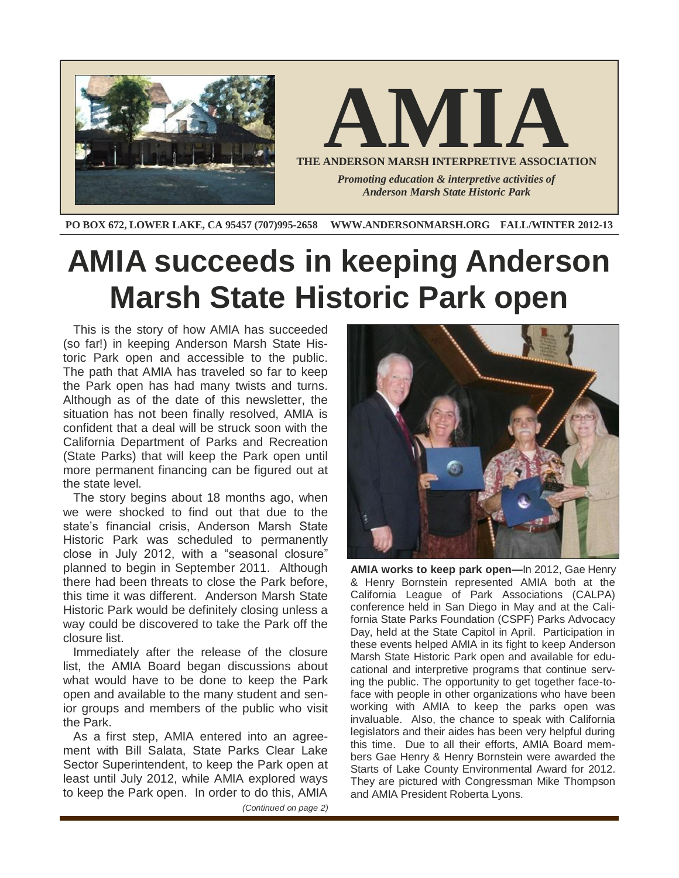

**PO BOX 672, LOWER LAKE, CA 95457 (707)995-2658 WWW.ANDERSONMARSH.ORG FALL/WINTER 2012-13**

# **AMIA succeeds in keeping Anderson Marsh State Historic Park open**

This is the story of how AMIA has succeeded (so far!) in keeping Anderson Marsh State Historic Park open and accessible to the public. The path that AMIA has traveled so far to keep the Park open has had many twists and turns. Although as of the date of this newsletter, the situation has not been finally resolved, AMIA is confident that a deal will be struck soon with the California Department of Parks and Recreation (State Parks) that will keep the Park open until more permanent financing can be figured out at the state level.

The story begins about 18 months ago, when we were shocked to find out that due to the state's financial crisis, Anderson Marsh State Historic Park was scheduled to permanently close in July 2012, with a "seasonal closure" planned to begin in September 2011. Although there had been threats to close the Park before, this time it was different. Anderson Marsh State Historic Park would be definitely closing unless a way could be discovered to take the Park off the closure list.

Immediately after the release of the closure list, the AMIA Board began discussions about what would have to be done to keep the Park open and available to the many student and senior groups and members of the public who visit the Park.

As a first step, AMIA entered into an agreement with Bill Salata, State Parks Clear Lake Sector Superintendent, to keep the Park open at least until July 2012, while AMIA explored ways to keep the Park open. In order to do this, AMIA

*(Continued on page 2)*



**AMIA works to keep park open—**In 2012, Gae Henry & Henry Bornstein represented AMIA both at the California League of Park Associations (CALPA) conference held in San Diego in May and at the California State Parks Foundation (CSPF) Parks Advocacy Day, held at the State Capitol in April. Participation in these events helped AMIA in its fight to keep Anderson Marsh State Historic Park open and available for educational and interpretive programs that continue serving the public. The opportunity to get together face-toface with people in other organizations who have been working with AMIA to keep the parks open was invaluable. Also, the chance to speak with California legislators and their aides has been very helpful during this time. Due to all their efforts, AMIA Board members Gae Henry & Henry Bornstein were awarded the Starts of Lake County Environmental Award for 2012. They are pictured with Congressman Mike Thompson and AMIA President Roberta Lyons.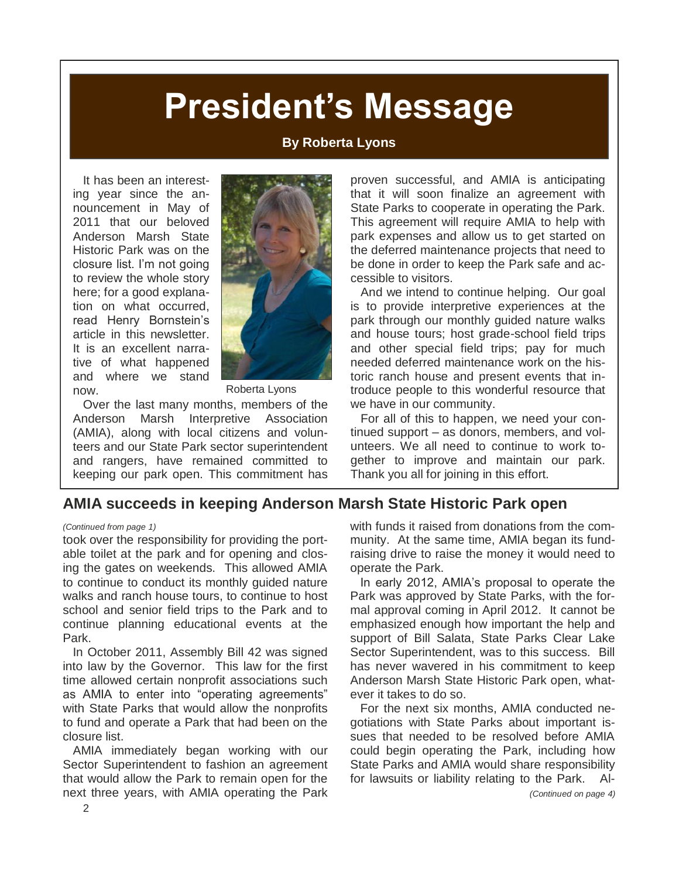# **President's Message**

#### **By Roberta Lyons**

It has been an interesting year since the announcement in May of 2011 that our beloved Anderson Marsh State Historic Park was on the closure list. I'm not going to review the whole story here; for a good explanation on what occurred, read Henry Bornstein's article in this newsletter. It is an excellent narrative of what happened and where we stand now.



Roberta Lyons

Over the last many months, members of the Anderson Marsh Interpretive Association (AMIA), along with local citizens and volunteers and our State Park sector superintendent and rangers, have remained committed to keeping our park open. This commitment has proven successful, and AMIA is anticipating that it will soon finalize an agreement with State Parks to cooperate in operating the Park. This agreement will require AMIA to help with park expenses and allow us to get started on the deferred maintenance projects that need to be done in order to keep the Park safe and accessible to visitors.

And we intend to continue helping. Our goal is to provide interpretive experiences at the park through our monthly guided nature walks and house tours; host grade-school field trips and other special field trips; pay for much needed deferred maintenance work on the historic ranch house and present events that introduce people to this wonderful resource that we have in our community.

For all of this to happen, we need your continued support – as donors, members, and volunteers. We all need to continue to work together to improve and maintain our park. Thank you all for joining in this effort.

#### **AMIA succeeds in keeping Anderson Marsh State Historic Park open**

took over the responsibility for providing the portable toilet at the park and for opening and closing the gates on weekends. This allowed AMIA to continue to conduct its monthly guided nature walks and ranch house tours, to continue to host school and senior field trips to the Park and to continue planning educational events at the Park.

In October 2011, Assembly Bill 42 was signed into law by the Governor. This law for the first time allowed certain nonprofit associations such as AMIA to enter into "operating agreements" with State Parks that would allow the nonprofits to fund and operate a Park that had been on the closure list.

AMIA immediately began working with our Sector Superintendent to fashion an agreement that would allow the Park to remain open for the next three years, with AMIA operating the Park

*(Continued from page 1)* with funds it raised from donations from the community. At the same time, AMIA began its fundraising drive to raise the money it would need to operate the Park.

> In early 2012, AMIA's proposal to operate the Park was approved by State Parks, with the formal approval coming in April 2012. It cannot be emphasized enough how important the help and support of Bill Salata, State Parks Clear Lake Sector Superintendent, was to this success. Bill has never wavered in his commitment to keep Anderson Marsh State Historic Park open, whatever it takes to do so.

> For the next six months, AMIA conducted negotiations with State Parks about important issues that needed to be resolved before AMIA could begin operating the Park, including how State Parks and AMIA would share responsibility for lawsuits or liability relating to the Park. Al-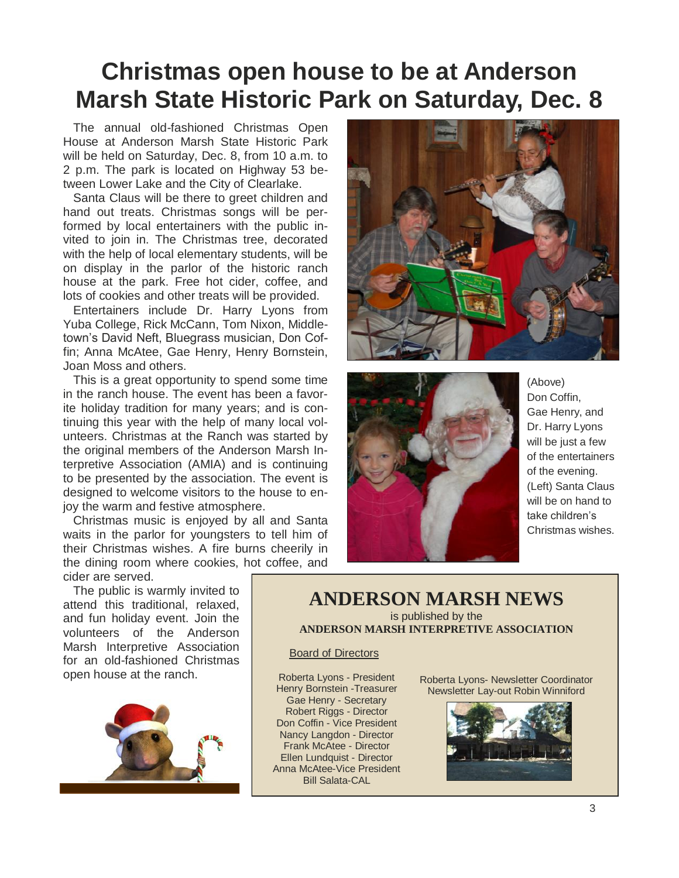### **Christmas open house to be at Anderson Marsh State Historic Park on Saturday, Dec. 8**

The annual old-fashioned Christmas Open House at Anderson Marsh State Historic Park will be held on Saturday, Dec. 8, from 10 a.m. to 2 p.m. The park is located on Highway 53 between Lower Lake and the City of Clearlake.

Santa Claus will be there to greet children and hand out treats. Christmas songs will be performed by local entertainers with the public invited to join in. The Christmas tree, decorated with the help of local elementary students, will be on display in the parlor of the historic ranch house at the park. Free hot cider, coffee, and lots of cookies and other treats will be provided.

Entertainers include Dr. Harry Lyons from Yuba College, Rick McCann, Tom Nixon, Middletown's David Neft, Bluegrass musician, Don Coffin; Anna McAtee, Gae Henry, Henry Bornstein, Joan Moss and others.

This is a great opportunity to spend some time in the ranch house. The event has been a favorite holiday tradition for many years; and is continuing this year with the help of many local volunteers. Christmas at the Ranch was started by the original members of the Anderson Marsh Interpretive Association (AMIA) and is continuing to be presented by the association. The event is designed to welcome visitors to the house to enjoy the warm and festive atmosphere.

Christmas music is enjoyed by all and Santa waits in the parlor for youngsters to tell him of their Christmas wishes. A fire burns cheerily in the dining room where cookies, hot coffee, and cider are served.

The public is warmly invited to attend this traditional, relaxed, and fun holiday event. Join the volunteers of the Anderson Marsh Interpretive Association for an old-fashioned Christmas open house at the ranch.







(Above) Don Coffin, Gae Henry, and Dr. Harry Lyons will be just a few of the entertainers of the evening. (Left) Santa Claus will be on hand to take children's Christmas wishes.

#### **ANDERSON MARSH NEWS** is published by the

**ANDERSON MARSH INTERPRETIVE ASSOCIATION**

#### Board of Directors

Roberta Lyons - President Henry Bornstein -Treasurer Gae Henry - Secretary Robert Riggs - Director Don Coffin - Vice President Nancy Langdon - Director Frank McAtee - Director Ellen Lundquist - Director Anna McAtee-Vice President Bill Salata-CAL

Roberta Lyons- Newsletter Coordinator Newsletter Lay-out Robin Winniford

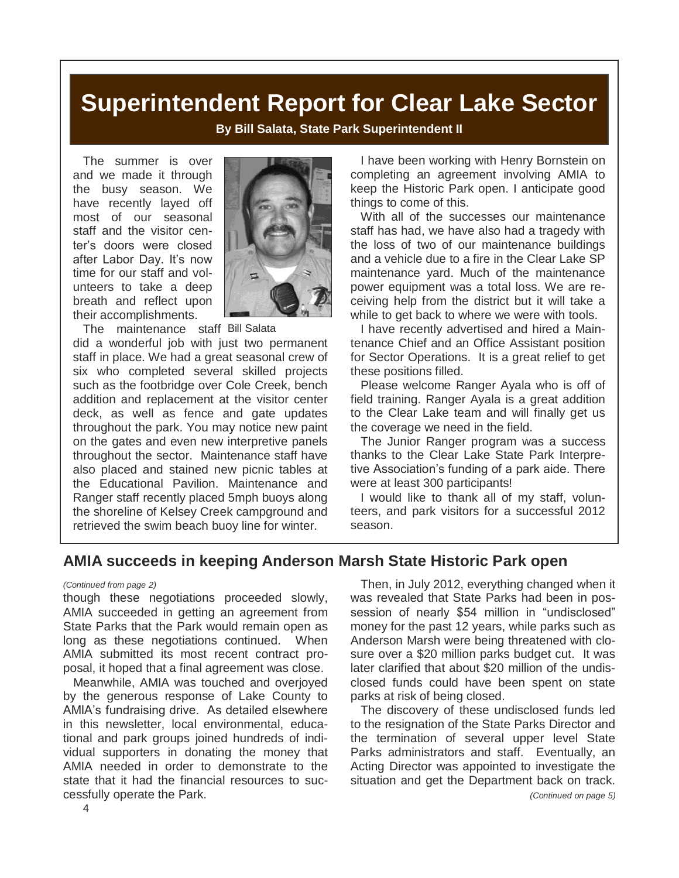### **Superintendent Report for Clear Lake Sector**

**By Bill Salata, State Park Superintendent II**

The summer is over and we made it through the busy season. We have recently layed off most of our seasonal staff and the visitor center's doors were closed after Labor Day. It's now time for our staff and volunteers to take a deep breath and reflect upon their accomplishments.



The maintenance staff Bill Salata

did a wonderful job with just two permanent staff in place. We had a great seasonal crew of six who completed several skilled projects such as the footbridge over Cole Creek, bench addition and replacement at the visitor center deck, as well as fence and gate updates throughout the park. You may notice new paint on the gates and even new interpretive panels throughout the sector. Maintenance staff have also placed and stained new picnic tables at the Educational Pavilion. Maintenance and Ranger staff recently placed 5mph buoys along the shoreline of Kelsey Creek campground and retrieved the swim beach buoy line for winter.

I have been working with Henry Bornstein on completing an agreement involving AMIA to keep the Historic Park open. I anticipate good things to come of this.

With all of the successes our maintenance staff has had, we have also had a tragedy with the loss of two of our maintenance buildings and a vehicle due to a fire in the Clear Lake SP maintenance yard. Much of the maintenance power equipment was a total loss. We are receiving help from the district but it will take a while to get back to where we were with tools.

I have recently advertised and hired a Maintenance Chief and an Office Assistant position for Sector Operations. It is a great relief to get these positions filled.

Please welcome Ranger Ayala who is off of field training. Ranger Ayala is a great addition to the Clear Lake team and will finally get us the coverage we need in the field.

The Junior Ranger program was a success thanks to the Clear Lake State Park Interpretive Association's funding of a park aide. There were at least 300 participants!

I would like to thank all of my staff, volunteers, and park visitors for a successful 2012 season.

### **AMIA succeeds in keeping Anderson Marsh State Historic Park open**

though these negotiations proceeded slowly, AMIA succeeded in getting an agreement from State Parks that the Park would remain open as long as these negotiations continued. When AMIA submitted its most recent contract proposal, it hoped that a final agreement was close.

Meanwhile, AMIA was touched and overjoyed by the generous response of Lake County to AMIA's fundraising drive. As detailed elsewhere in this newsletter, local environmental, educational and park groups joined hundreds of individual supporters in donating the money that AMIA needed in order to demonstrate to the state that it had the financial resources to successfully operate the Park.

*(Continued from page 2)* Then, in July 2012, everything changed when it was revealed that State Parks had been in possession of nearly \$54 million in "undisclosed" money for the past 12 years, while parks such as Anderson Marsh were being threatened with closure over a \$20 million parks budget cut. It was later clarified that about \$20 million of the undisclosed funds could have been spent on state parks at risk of being closed.

> The discovery of these undisclosed funds led to the resignation of the State Parks Director and the termination of several upper level State Parks administrators and staff. Eventually, an Acting Director was appointed to investigate the situation and get the Department back on track. *(Continued on page 5)*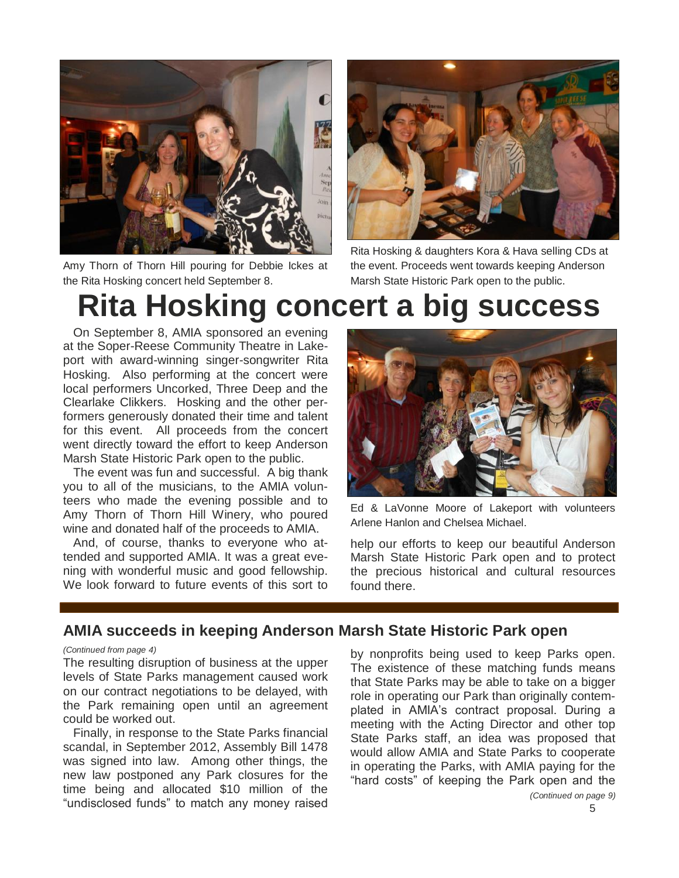

Amy Thorn of Thorn Hill pouring for Debbie Ickes at the Rita Hosking concert held September 8.



Rita Hosking & daughters Kora & Hava selling CDs at the event. Proceeds went towards keeping Anderson Marsh State Historic Park open to the public.

# **Rita Hosking concert a big success**

On September 8, AMIA sponsored an evening at the Soper-Reese Community Theatre in Lakeport with award-winning singer-songwriter Rita Hosking. Also performing at the concert were local performers Uncorked, Three Deep and the Clearlake Clikkers. Hosking and the other performers generously donated their time and talent for this event. All proceeds from the concert went directly toward the effort to keep Anderson Marsh State Historic Park open to the public.

The event was fun and successful. A big thank you to all of the musicians, to the AMIA volunteers who made the evening possible and to Amy Thorn of Thorn Hill Winery, who poured wine and donated half of the proceeds to AMIA.

And, of course, thanks to everyone who attended and supported AMIA. It was a great evening with wonderful music and good fellowship. We look forward to future events of this sort to



Ed & LaVonne Moore of Lakeport with volunteers Arlene Hanlon and Chelsea Michael.

help our efforts to keep our beautiful Anderson Marsh State Historic Park open and to protect the precious historical and cultural resources found there.

### **AMIA succeeds in keeping Anderson Marsh State Historic Park open**

#### *(Continued from page 4)*

The resulting disruption of business at the upper levels of State Parks management caused work on our contract negotiations to be delayed, with the Park remaining open until an agreement could be worked out.

Finally, in response to the State Parks financial scandal, in September 2012, Assembly Bill 1478 was signed into law. Among other things, the new law postponed any Park closures for the time being and allocated \$10 million of the "undisclosed funds" to match any money raised by nonprofits being used to keep Parks open. The existence of these matching funds means that State Parks may be able to take on a bigger role in operating our Park than originally contemplated in AMIA's contract proposal. During a meeting with the Acting Director and other top State Parks staff, an idea was proposed that would allow AMIA and State Parks to cooperate in operating the Parks, with AMIA paying for the "hard costs" of keeping the Park open and the *(Continued on page 9)*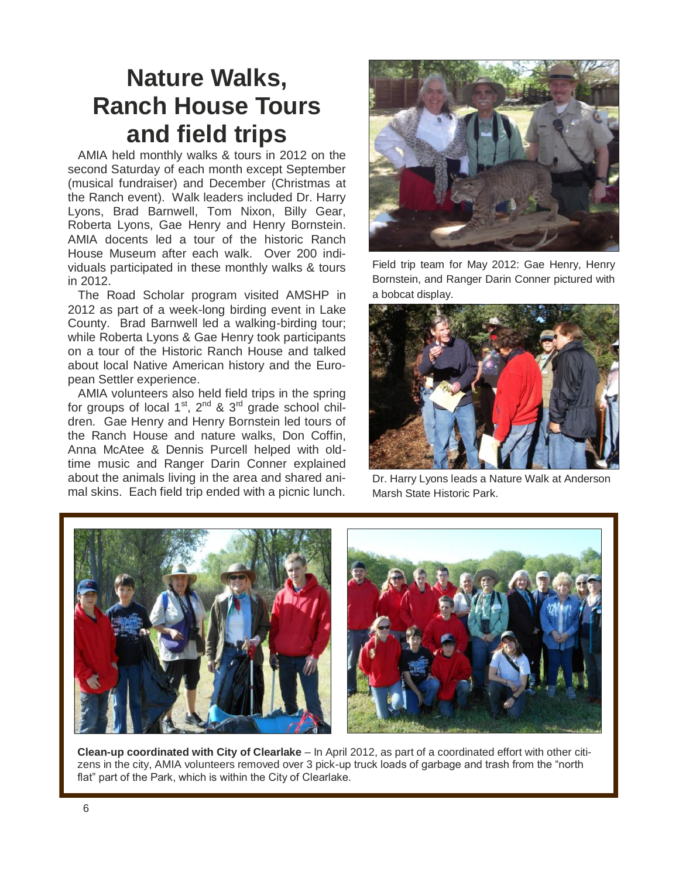### **Nature Walks, Ranch House Tours and field trips**

AMIA held monthly walks & tours in 2012 on the second Saturday of each month except September (musical fundraiser) and December (Christmas at the Ranch event). Walk leaders included Dr. Harry Lyons, Brad Barnwell, Tom Nixon, Billy Gear, Roberta Lyons, Gae Henry and Henry Bornstein. AMIA docents led a tour of the historic Ranch House Museum after each walk. Over 200 individuals participated in these monthly walks & tours in 2012.

The Road Scholar program visited AMSHP in 2012 as part of a week-long birding event in Lake County. Brad Barnwell led a walking-birding tour; while Roberta Lyons & Gae Henry took participants on a tour of the Historic Ranch House and talked about local Native American history and the European Settler experience.

AMIA volunteers also held field trips in the spring for groups of local 1<sup>st</sup>, 2<sup>nd</sup> & 3<sup>rd</sup> grade school children. Gae Henry and Henry Bornstein led tours of the Ranch House and nature walks, Don Coffin, Anna McAtee & Dennis Purcell helped with oldtime music and Ranger Darin Conner explained about the animals living in the area and shared animal skins. Each field trip ended with a picnic lunch.



Field trip team for May 2012: Gae Henry, Henry Bornstein, and Ranger Darin Conner pictured with a bobcat display.



Dr. Harry Lyons leads a Nature Walk at Anderson Marsh State Historic Park.



**Clean-up coordinated with City of Clearlake** – In April 2012, as part of a coordinated effort with other citizens in the city, AMIA volunteers removed over 3 pick-up truck loads of garbage and trash from the "north flat" part of the Park, which is within the City of Clearlake.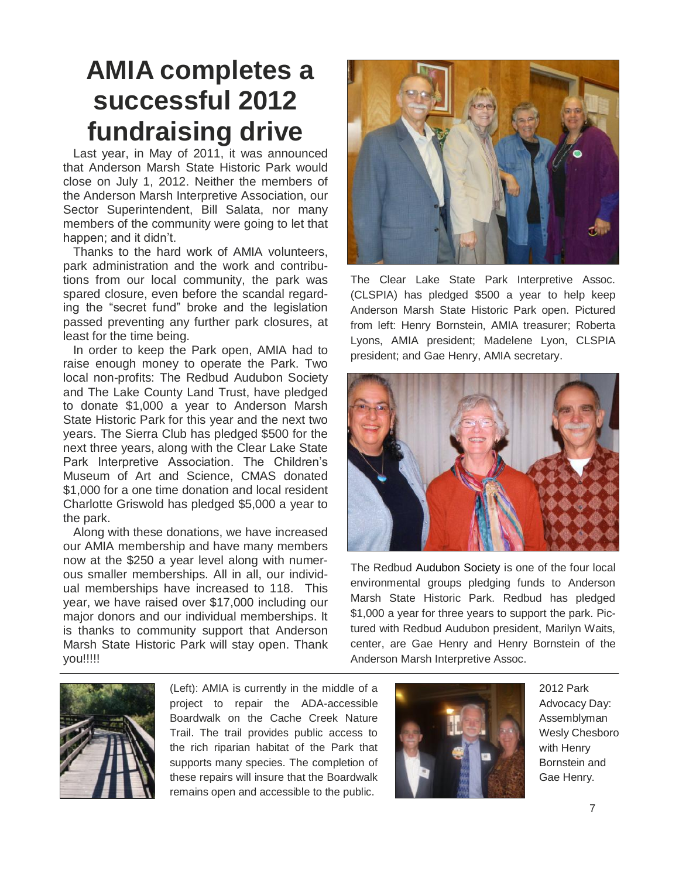## **AMIA completes a successful 2012 fundraising drive**

Last year, in May of 2011, it was announced that Anderson Marsh State Historic Park would close on July 1, 2012. Neither the members of the Anderson Marsh Interpretive Association, our Sector Superintendent, Bill Salata, nor many members of the community were going to let that happen; and it didn't.

Thanks to the hard work of AMIA volunteers, park administration and the work and contributions from our local community, the park was spared closure, even before the scandal regarding the "secret fund" broke and the legislation passed preventing any further park closures, at least for the time being.

In order to keep the Park open, AMIA had to raise enough money to operate the Park. Two local non-profits: The Redbud Audubon Society and The Lake County Land Trust, have pledged to donate \$1,000 a year to Anderson Marsh State Historic Park for this year and the next two years. The Sierra Club has pledged \$500 for the next three years, along with the Clear Lake State Park Interpretive Association. The Children's Museum of Art and Science, CMAS donated \$1,000 for a one time donation and local resident Charlotte Griswold has pledged \$5,000 a year to the park.

Along with these donations, we have increased our AMIA membership and have many members now at the \$250 a year level along with numerous smaller memberships. All in all, our individual memberships have increased to 118. This year, we have raised over \$17,000 including our major donors and our individual memberships. It is thanks to community support that Anderson Marsh State Historic Park will stay open. Thank you!!!!!



The Clear Lake State Park Interpretive Assoc. (CLSPIA) has pledged \$500 a year to help keep Anderson Marsh State Historic Park open. Pictured from left: Henry Bornstein, AMIA treasurer; Roberta Lyons, AMIA president; Madelene Lyon, CLSPIA president; and Gae Henry, AMIA secretary.



The Redbud Audubon Society is one of the four local environmental groups pledging funds to Anderson Marsh State Historic Park. Redbud has pledged \$1,000 a year for three years to support the park. Pictured with Redbud Audubon president, Marilyn Waits, center, are Gae Henry and Henry Bornstein of the Anderson Marsh Interpretive Assoc.



(Left): AMIA is currently in the middle of a project to repair the ADA-accessible Boardwalk on the Cache Creek Nature Trail. The trail provides public access to the rich riparian habitat of the Park that supports many species. The completion of these repairs will insure that the Boardwalk remains open and accessible to the public.



2012 Park Advocacy Day: Assemblyman Wesly Chesboro with Henry Bornstein and Gae Henry.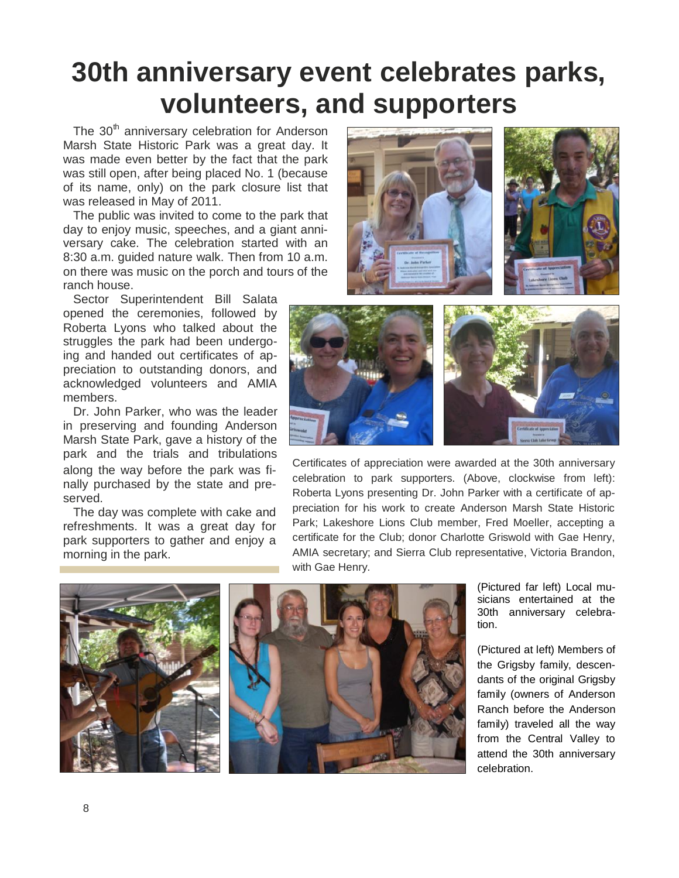## **30th anniversary event celebrates parks, volunteers, and supporters**

The  $30<sup>th</sup>$  anniversary celebration for Anderson Marsh State Historic Park was a great day. It was made even better by the fact that the park was still open, after being placed No. 1 (because of its name, only) on the park closure list that was released in May of 2011.

The public was invited to come to the park that day to enjoy music, speeches, and a giant anniversary cake. The celebration started with an 8:30 a.m. guided nature walk. Then from 10 a.m. on there was music on the porch and tours of the ranch house.

Sector Superintendent Bill Salata opened the ceremonies, followed by Roberta Lyons who talked about the struggles the park had been undergoing and handed out certificates of appreciation to outstanding donors, and acknowledged volunteers and AMIA members.

Dr. John Parker, who was the leader in preserving and founding Anderson Marsh State Park, gave a history of the park and the trials and tribulations along the way before the park was finally purchased by the state and preserved.

The day was complete with cake and refreshments. It was a great day for park supporters to gather and enjoy a morning in the park.





Certificates of appreciation were awarded at the 30th anniversary celebration to park supporters. (Above, clockwise from left): Roberta Lyons presenting Dr. John Parker with a certificate of appreciation for his work to create Anderson Marsh State Historic Park; Lakeshore Lions Club member, Fred Moeller, accepting a certificate for the Club; donor Charlotte Griswold with Gae Henry, AMIA secretary; and Sierra Club representative, Victoria Brandon, with Gae Henry.



(Pictured far left) Local musicians entertained at the 30th anniversary celebration.

(Pictured at left) Members of the Grigsby family, descendants of the original Grigsby family (owners of Anderson Ranch before the Anderson family) traveled all the way from the Central Valley to attend the 30th anniversary celebration.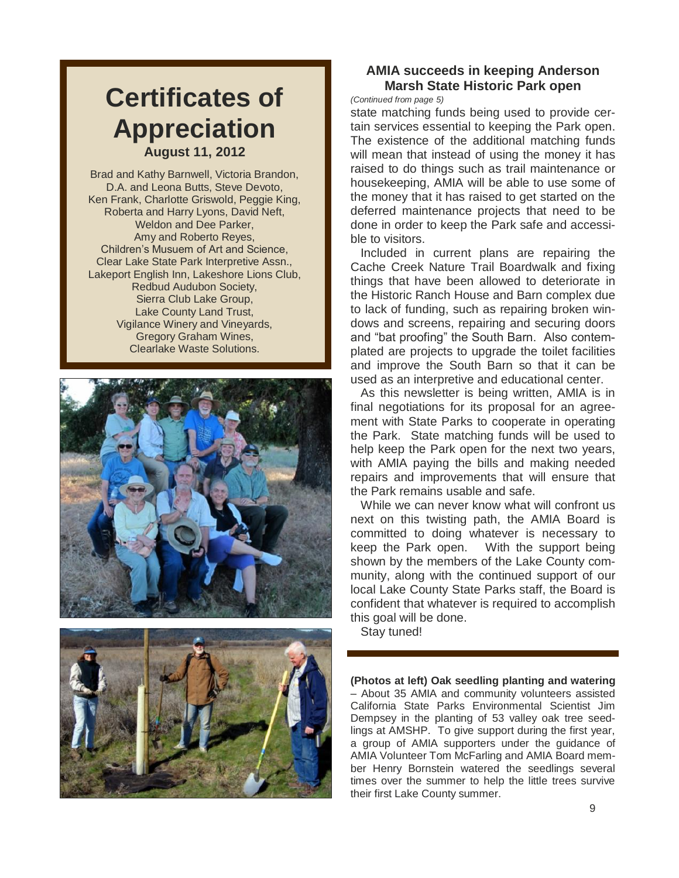### **Certificates of Appreciation August 11, 2012**

Brad and Kathy Barnwell, Victoria Brandon, D.A. and Leona Butts, Steve Devoto, Ken Frank, Charlotte Griswold, Peggie King, Roberta and Harry Lyons, David Neft, Weldon and Dee Parker, Amy and Roberto Reyes, Children's Musuem of Art and Science, Clear Lake State Park Interpretive Assn., Lakeport English Inn, Lakeshore Lions Club, Redbud Audubon Society, Sierra Club Lake Group, Lake County Land Trust, Vigilance Winery and Vineyards, Gregory Graham Wines, Clearlake Waste Solutions.





#### **AMIA succeeds in keeping Anderson Marsh State Historic Park open**

*(Continued from page 5)*

state matching funds being used to provide certain services essential to keeping the Park open. The existence of the additional matching funds will mean that instead of using the money it has raised to do things such as trail maintenance or housekeeping, AMIA will be able to use some of the money that it has raised to get started on the deferred maintenance projects that need to be done in order to keep the Park safe and accessible to visitors.

Included in current plans are repairing the Cache Creek Nature Trail Boardwalk and fixing things that have been allowed to deteriorate in the Historic Ranch House and Barn complex due to lack of funding, such as repairing broken windows and screens, repairing and securing doors and "bat proofing" the South Barn. Also contemplated are projects to upgrade the toilet facilities and improve the South Barn so that it can be used as an interpretive and educational center.

As this newsletter is being written, AMIA is in final negotiations for its proposal for an agreement with State Parks to cooperate in operating the Park. State matching funds will be used to help keep the Park open for the next two years, with AMIA paying the bills and making needed repairs and improvements that will ensure that the Park remains usable and safe.

While we can never know what will confront us next on this twisting path, the AMIA Board is committed to doing whatever is necessary to keep the Park open. With the support being shown by the members of the Lake County community, along with the continued support of our local Lake County State Parks staff, the Board is confident that whatever is required to accomplish this goal will be done.

Stay tuned!

**(Photos at left) Oak seedling planting and watering** – About 35 AMIA and community volunteers assisted California State Parks Environmental Scientist Jim Dempsey in the planting of 53 valley oak tree seedlings at AMSHP. To give support during the first year, a group of AMIA supporters under the guidance of AMIA Volunteer Tom McFarling and AMIA Board member Henry Bornstein watered the seedlings several times over the summer to help the little trees survive their first Lake County summer.